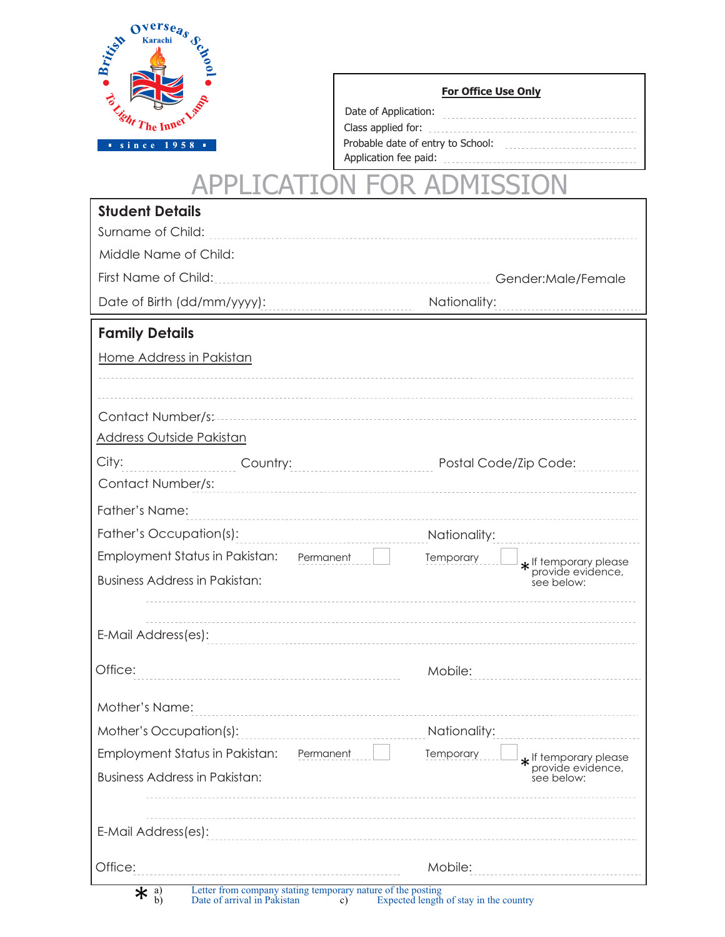

| Date of Application:              |  |
|-----------------------------------|--|
| Class applied for:                |  |
| Probable date of entry to School: |  |
| Application fee paid:             |  |

## **CAT APPL ON FOR AD MISSION**  $\overline{1}$ I(  $\big)$

| <b>Student Details</b>                                      |                                                         |
|-------------------------------------------------------------|---------------------------------------------------------|
| Surname of Child:                                           |                                                         |
| Middle Name of Child:                                       |                                                         |
| First Name of Child:<br>----------------------------------- | Gender: Male/Female                                     |
| Date of Birth (dd/mm/yyyy):                                 | Nationality:                                            |
| <b>Family Details</b>                                       |                                                         |
| Home Address in Pakistan                                    |                                                         |
|                                                             |                                                         |
| Contact Number/s:                                           |                                                         |
| <b>Address Outside Pakistan</b>                             |                                                         |
| City:<br>Country:<br>_________________________________      | Postal Code/Zip Code:                                   |
| Contact Number/s:                                           |                                                         |
| Father's Name:                                              |                                                         |
| Father's Occupation(s):                                     | Nationality:                                            |
| Employment Status in Pakistan: Permanent                    | Temporary<br>* If temporary please<br>provide evidence, |
| <b>Business Address in Pakistan:</b>                        | see below:                                              |
|                                                             |                                                         |
| E-Mail Address(es):                                         |                                                         |
|                                                             |                                                         |
| Office:                                                     | Mobile:                                                 |
| Mother's Name:                                              |                                                         |
| Mother's Occupation(s):                                     | Nationality:                                            |
| Employment Status in Pakistan:<br>Permanent                 | Temporary<br>* If temporary please<br>provide evidence, |
| <b>Business Address in Pakistan:</b>                        | see below:                                              |
| E-Mail Address(es):                                         |                                                         |
| Office:                                                     | Mobile:                                                 |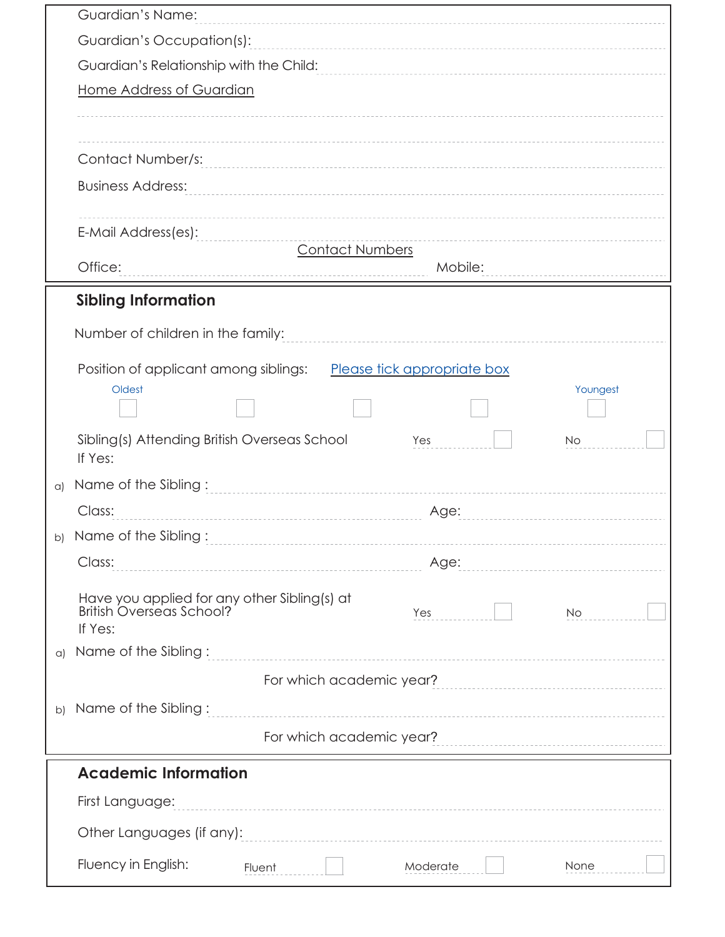|            | Guardian's Name:                                                                                        |
|------------|---------------------------------------------------------------------------------------------------------|
|            | Guardian's Occupation(s):                                                                               |
|            | Guardian's Relationship with the Child:                                                                 |
|            | Home Address of Guardian                                                                                |
|            |                                                                                                         |
|            | Contact Number/s:                                                                                       |
|            | <b>Business Address:</b>                                                                                |
|            |                                                                                                         |
|            | E-Mail Address(es):                                                                                     |
|            | <b>Contact Numbers</b><br>Office:<br>Mobile:                                                            |
|            |                                                                                                         |
|            | <b>Sibling Information</b>                                                                              |
|            | Number of children in the family:                                                                       |
|            | Position of applicant among siblings:<br>Please tick appropriate box                                    |
|            | Youngest<br>Oldest                                                                                      |
|            |                                                                                                         |
|            | Sibling(s) Attending British Overseas School<br>Yes<br><b>No</b><br>If Yes:                             |
| $\alpha$   | Name of the Sibling:                                                                                    |
|            | Class:<br>Age:                                                                                          |
| b)         | Name of the Sibling:                                                                                    |
|            | Class:<br>Age:                                                                                          |
|            | Have you applied for any other Sibling(s) at<br>British Overseas School?<br>Yes<br><b>No</b><br>If Yes: |
| $\alpha$ ) | Name of the Sibling:                                                                                    |
|            | For which academic year?                                                                                |
| b)         | Name of the Sibling:                                                                                    |
|            | For which academic year?                                                                                |
|            | <b>Academic Information</b>                                                                             |
|            | First Language:                                                                                         |
|            | Other Languages (if any):                                                                               |
|            | Fluency in English:<br>Moderate<br>None<br>Fluent                                                       |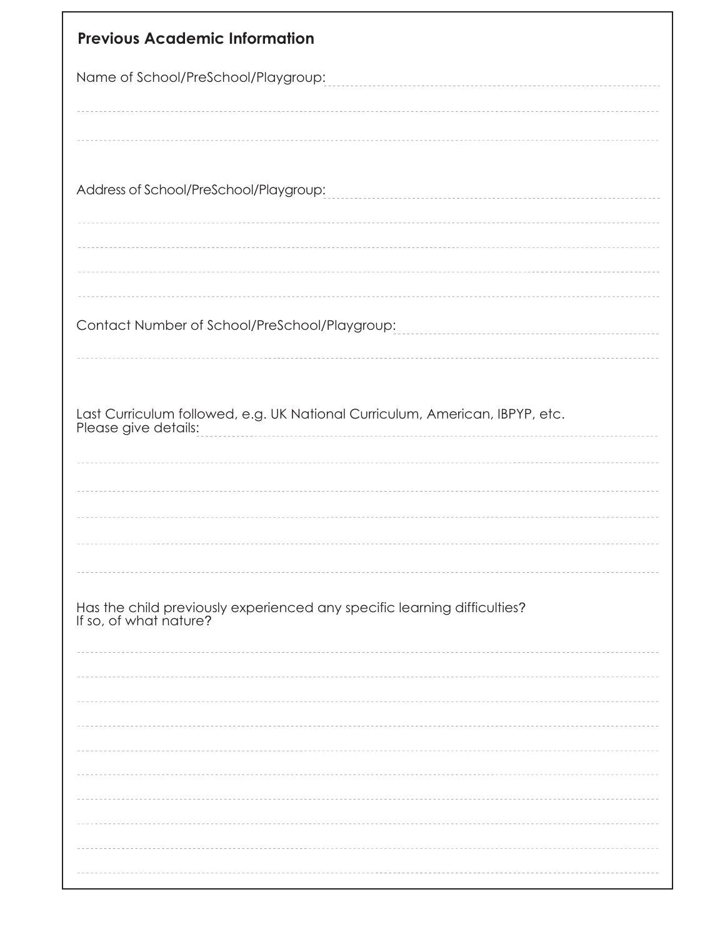| <b>Previous Academic Information</b>                                                               |
|----------------------------------------------------------------------------------------------------|
| Name of School/PreSchool/Playgroup:                                                                |
| Address of School/PreSchool/Playgroup:                                                             |
|                                                                                                    |
| Contact Number of School/PreSchool/Playgroup:                                                      |
|                                                                                                    |
|                                                                                                    |
| Has the child previously experienced any specific learning difficulties?<br>If so, of what nature? |
|                                                                                                    |
|                                                                                                    |
|                                                                                                    |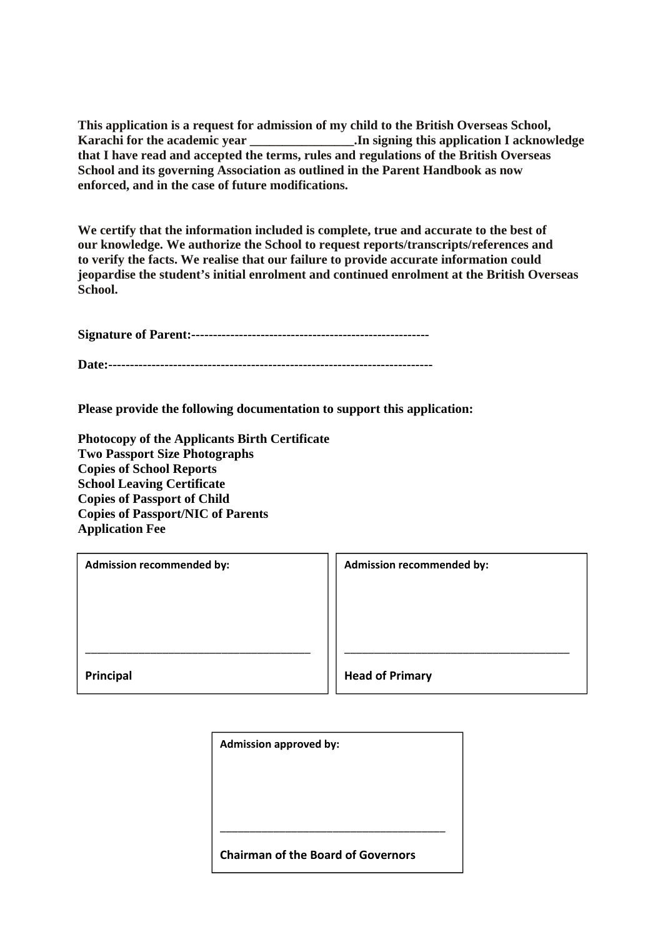**This application is a request for admission of my child to the British Overseas School, Karachi for the academic year Conservery in signing this application I acknowledge that I have read and accepted the terms, rules and regulations of the British Overseas School and its governing Association as outlined in the Parent Handbook as now enforced, and in the case of future modifications.** 

**We certify that the information included is complete, true and accurate to the best of our knowledge. We authorize the School to request reports/transcripts/references and to verify the facts. We realise that our failure to provide accurate information could jeopardise the student's initial enrolment and continued enrolment at the British Overseas School.** 

**Signature of Parent:-------------------------------------------------------** 

**Date:---------------------------------------------------------------------------** 

**Please provide the following documentation to support this application:** 

**Photocopy of the Applicants Birth Certificate Two Passport Size Photographs Copies of School Reports School Leaving Certificate Copies of Passport of Child Copies of Passport/NIC of Parents Application Fee** 

| <b>Admission recommended by:</b> | Admission recommended by: |
|----------------------------------|---------------------------|
|                                  |                           |
|                                  |                           |
|                                  |                           |
|                                  |                           |
| Principal                        | <b>Head of Primary</b>    |

| <b>Admission approved by:</b>                                                                                                                                                                                                                                                                                                      |  |  |  |
|------------------------------------------------------------------------------------------------------------------------------------------------------------------------------------------------------------------------------------------------------------------------------------------------------------------------------------|--|--|--|
|                                                                                                                                                                                                                                                                                                                                    |  |  |  |
|                                                                                                                                                                                                                                                                                                                                    |  |  |  |
|                                                                                                                                                                                                                                                                                                                                    |  |  |  |
| $\mathbf{a}$ $\mathbf{b}$ $\mathbf{c}$ $\mathbf{c}$ $\mathbf{d}$ $\mathbf{c}$ $\mathbf{c}$ $\mathbf{c}$ $\mathbf{d}$ $\mathbf{c}$ $\mathbf{c}$ $\mathbf{c}$ $\mathbf{c}$ $\mathbf{c}$ $\mathbf{c}$ $\mathbf{c}$ $\mathbf{c}$ $\mathbf{c}$ $\mathbf{c}$ $\mathbf{c}$ $\mathbf{c}$ $\mathbf{c}$ $\mathbf{c}$ $\mathbf{c}$ $\mathbf{$ |  |  |  |

**Chairman of the Board of Governors**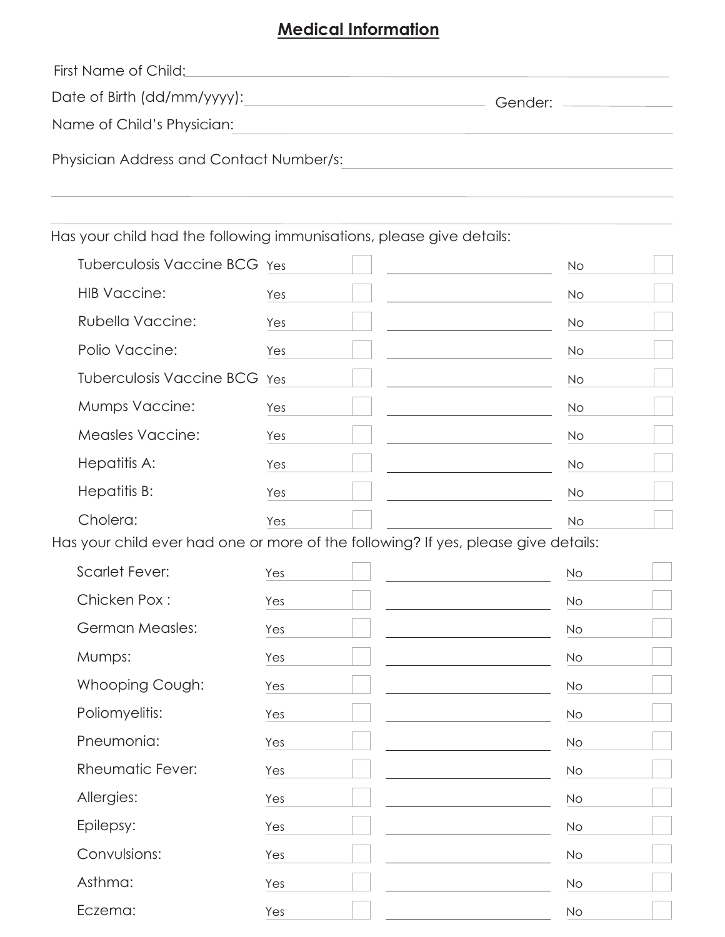## **Medical Information**

| First Name of Child:                                                 |            |  |
|----------------------------------------------------------------------|------------|--|
| Date of Birth (dd/mm/yyyy):                                          | Gender: __ |  |
| Name of Child's Physician:                                           |            |  |
| Physician Address and Contact Number/s:                              |            |  |
|                                                                      |            |  |
| Has your child had the following immunisations, please give details: |            |  |

Tuberculosis Vaccine BCG Yes  $\mathsf{No}$ **HIB Vaccine:** Yes  $No$ Rubella Vaccine: Yes  $No$ Polio Vaccine: Yes  $No$ Tuberculosis Vaccine BCG Yes **No** Mumps Vaccine: Yes  $No$ **Measles Vaccine:** Yes  $No$ Hepatitis A: Yes **No** Hepatitis B: Yes **No** Cholera: Yes  $No$ 

Has your child ever had one or more of the following? If yes, please give details:

| <b>Scarlet Fever:</b>   | Yes | No        |
|-------------------------|-----|-----------|
| Chicken Pox:            | Yes | <b>No</b> |
| <b>German Measles:</b>  | Yes | No        |
| Mumps:                  | Yes | <b>No</b> |
| Whooping Cough:         | Yes | <b>No</b> |
| Poliomyelitis:          | Yes | No        |
| Pneumonia:              | Yes | <b>No</b> |
| <b>Rheumatic Fever:</b> | Yes | <b>No</b> |
| Allergies:              | Yes | No        |
| Epilepsy:               | Yes | <b>No</b> |
| Convulsions:            | Yes | <b>No</b> |
| Asthma:                 | Yes | No        |
| Eczema:                 | Yes | No        |